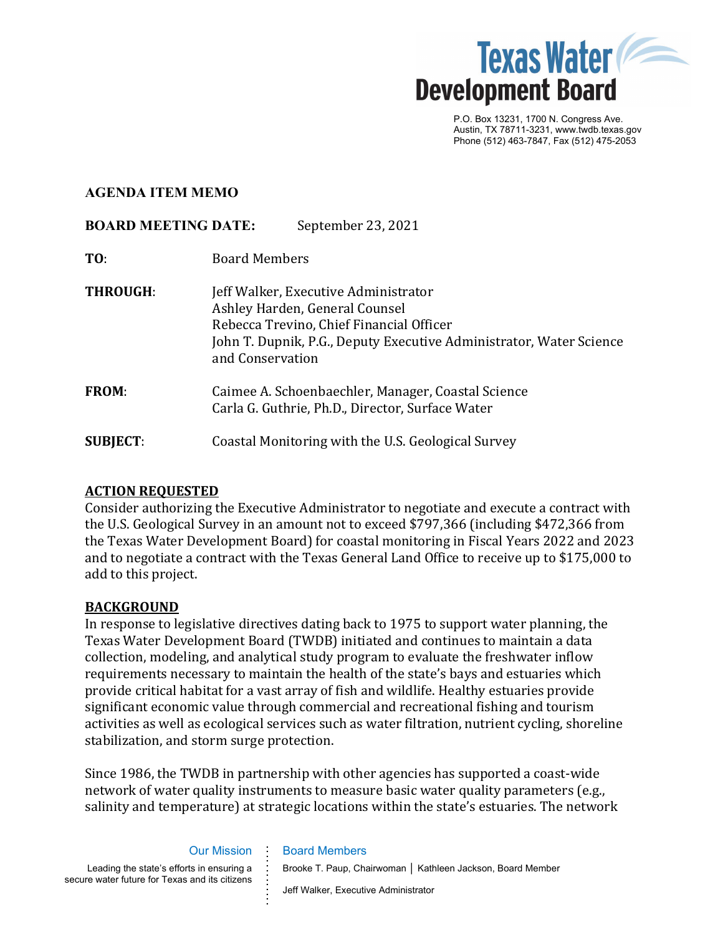

P.O. Box 13231, 1700 N. Congress Ave. Austin, TX 78711-3231, www.twdb.texas.gov Phone (512) 463-7847, Fax (512) 475-2053

## **AGENDA ITEM MEMO**

# **BOARD MEETING DATE:** September 23, 2021

- **TO**: Board Members
- **THROUGH:** Jeff Walker, Executive Administrator Ashley Harden, General Counsel Rebecca Trevino, Chief Financial Officer John T. Dupnik, P.G., Deputy Executive Administrator, Water Science and Conservation
- **FROM**: Caimee A. Schoenbaechler, Manager, Coastal Science Carla G. Guthrie, Ph.D., Director, Surface Water
- **SUBJECT**: Coastal Monitoring with the U.S. Geological Survey

# **ACTION REQUESTED**

Consider authorizing the Executive Administrator to negotiate and execute a contract with the U.S. Geological Survey in an amount not to exceed \$797,366 (including \$472,366 from the Texas Water Development Board) for coastal monitoring in Fiscal Years 2022 and 2023 and to negotiate a contract with the Texas General Land Office to receive up to \$175,000 to add to this project.

### **BACKGROUND**

In response to legislative directives dating back to 1975 to support water planning, the Texas Water Development Board (TWDB) initiated and continues to maintain a data collection, modeling, and analytical study program to evaluate the freshwater inflow requirements necessary to maintain the health of the state's bays and estuaries which provide critical habitat for a vast array of fish and wildlife. Healthy estuaries provide significant economic value through commercial and recreational fishing and tourism activities as well as ecological services such as water filtration, nutrient cycling, shoreline stabilization, and storm surge protection.

Since 1986, the TWDB in partnership with other agencies has supported a coast-wide network of water quality instruments to measure basic water quality parameters (e.g., salinity and temperature) at strategic locations within the state's estuaries. The network

Board Members

#### Our Mission **. . . .**

**. . . . . . . . .**

Leading the state's efforts in ensuring a secure water future for Texas and its citizens

Brooke T. Paup, Chairwoman │ Kathleen Jackson, Board Member

Jeff Walker, Executive Administrator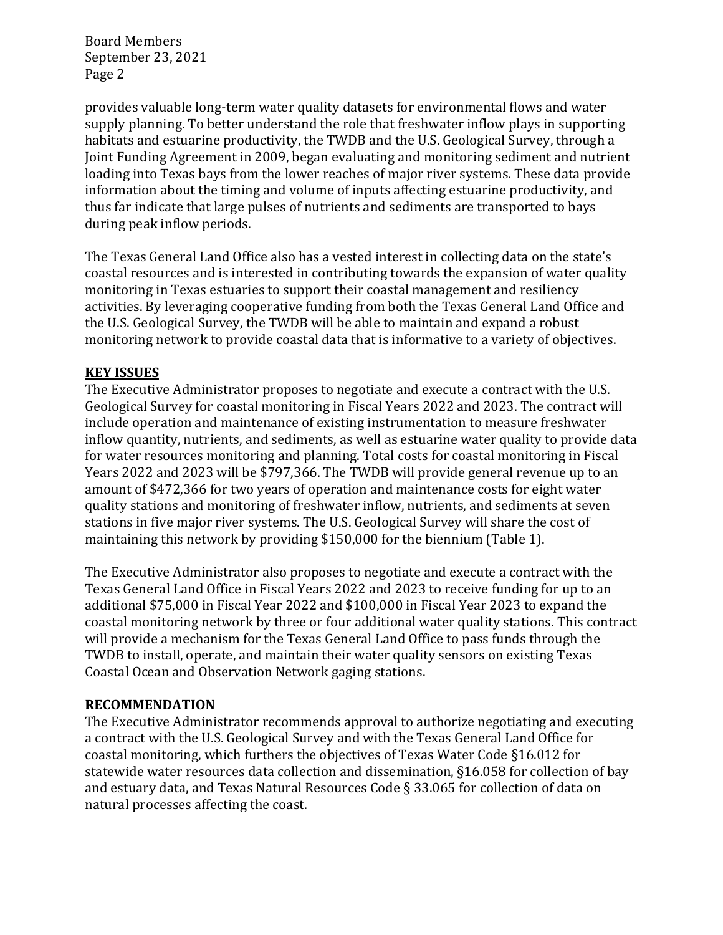Board Members September 23, 2021 Page 2

provides valuable long-term water quality datasets for environmental flows and water supply planning. To better understand the role that freshwater inflow plays in supporting habitats and estuarine productivity, the TWDB and the U.S. Geological Survey, through a Joint Funding Agreement in 2009, began evaluating and monitoring sediment and nutrient loading into Texas bays from the lower reaches of major river systems. These data provide information about the timing and volume of inputs affecting estuarine productivity, and thus far indicate that large pulses of nutrients and sediments are transported to bays during peak inflow periods.

The Texas General Land Office also has a vested interest in collecting data on the state's coastal resources and is interested in contributing towards the expansion of water quality monitoring in Texas estuaries to support their coastal management and resiliency activities. By leveraging cooperative funding from both the Texas General Land Office and the U.S. Geological Survey, the TWDB will be able to maintain and expand a robust monitoring network to provide coastal data that is informative to a variety of objectives.

# **KEY ISSUES**

The Executive Administrator proposes to negotiate and execute a contract with the U.S. Geological Survey for coastal monitoring in Fiscal Years 2022 and 2023. The contract will include operation and maintenance of existing instrumentation to measure freshwater inflow quantity, nutrients, and sediments, as well as estuarine water quality to provide data for water resources monitoring and planning. Total costs for coastal monitoring in Fiscal Years 2022 and 2023 will be \$797,366. The TWDB will provide general revenue up to an amount of \$472,366 for two years of operation and maintenance costs for eight water quality stations and monitoring of freshwater inflow, nutrients, and sediments at seven stations in five major river systems. The U.S. Geological Survey will share the cost of maintaining this network by providing \$150,000 for the biennium (Table 1).

The Executive Administrator also proposes to negotiate and execute a contract with the Texas General Land Office in Fiscal Years 2022 and 2023 to receive funding for up to an additional \$75,000 in Fiscal Year 2022 and \$100,000 in Fiscal Year 2023 to expand the coastal monitoring network by three or four additional water quality stations. This contract will provide a mechanism for the Texas General Land Office to pass funds through the TWDB to install, operate, and maintain their water quality sensors on existing Texas Coastal Ocean and Observation Network gaging stations.

# **RECOMMENDATION**

The Executive Administrator recommends approval to authorize negotiating and executing a contract with the U.S. Geological Survey and with the Texas General Land Office for coastal monitoring, which furthers the objectives of Texas Water Code §16.012 for statewide water resources data collection and dissemination, §16.058 for collection of bay and estuary data, and Texas Natural Resources Code § 33.065 for collection of data on natural processes affecting the coast.